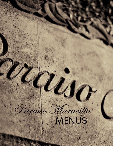# Paraiso Maravilla MENUS

i.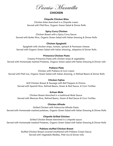

# **CHICKEN**

#### **Chipotle Chicken Bites**

Chicken bites drenched in a Chipotle cream. Served with Pilaf Rice, Organic Green Salad & Dinner Rolls

# **Spicy Curry Chicken**

Chicken Breast with a Spicy Curry Sauce. Served with Butter Rice, Organic Green Salad with Italian dressing & Dinner Rolls

# **Chicken Spaghetti**

Spaghetti with chicken strips, tomato, spinach & Parmesan cheese. Served with Organic Green Salad with Italian dressing, Jalapeños & Dinner Rolls

## **Primavera Chicken Pasta**

Creamy Primavera Pasta with chicken strips & vegetables. Served with Homemade mashed Potatoes, Organic Green salad with Italian Dressing & Dinner rolls

## **Poblano Plate**

Chicken with Poblano & Corn cream.

Served with Pilaf rice, Organic Green Salad with Italian dressing, or Refried Beans & Dinner Rolls

## **Chicken Fajitas**

Grill Chicken Breast & Sausage with Bell Peppers & Onions. Served with Spanish Rice, Refried Beans, Green & Red Sauce, & Corn Tortillas

## **Artisan Mole**

Chicken Breast drenched in a traditional Mole Sauce. Served with Mexican Rice, Refried Beans, Green & Red Sauce & Corn Tortillas

# **Chicken Alfredo**

Grilled Chicken with Fettuccine Alfredo Pasta. Served with Homemade mashed potatoes, Organic Green Salad with Italian Dressing & Dinner Rolls

# **Chipotle Grilled Chicken**

Grilled Chicken Breast drenched in a chipotle sauce. Served with Homemade mashed Potatoes, Organic Green Salad with Italian Dressing & Dinner Rolls

# **Poblano stuffed Chicken Breast**

Stuffed Chicken Breast covered smothered with Poblano Cream Sauce. Served with Vegetable Medley, Pilaf rice & Dinner rolls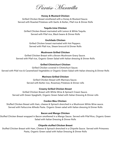Paraiso Maravilla

#### **Honey & Mustard Chicken**

Grilled Chicken Breast smothered with a Honey & Mustard Sauce. Served with Roasted Potatoes with Garlic & Butter, Pilaf rice & Dinner Rolls

#### **Tequila Lime Chicken**

Grilled Chicken Breast marinated with Lemon & White Tequila. Served with Pilaf rice, Black beans & Dinner Rolls

#### **Enchilado Chicken**

Grilled Chicken breast marinated with Hot Peppers. Served with Pilaf rice, Steam broccoli & Dinner Rolls

#### **Mushroom Grilled Chicken**

Grilled Chicken Breast with a Brown Mushroom Gravy Sauce. Served with Pilaf rice, Organic Green Salad with Italian dressing & Dinner Rolls

#### **Grilled Chimichurri Chicken**

Grilled Chicken covered in Chimichurri Sauce. Served with Pilaf rice & Caramelized Vegetables or Organic Green Salad with Italian dressing & Dinner Rolls

#### **Marinara Grilled Chicken**

Grilled Chicken Breast with Marinara Sauce. Served with Butter rice, Rosemary Potatoes & Dinner rolls

#### **Creamy Grilled Chicken Breast**

Grilled Chicken Breast with White Wine & Spinach Cream Sauce. Served with Green Spaghetti, Organic Green Salad with Italian Dressing & Dinner rolls

#### **Cordon Bleu Chicken**

Stuffed Chicken Breast with Ham, cheese & Spinach drenched in a Mushroom White Wine sauce. Served with Fettuccine Alfredo Pasta. Organic Green salad with Italian dressing & Dinner Rolls

#### **Bacon and Mango Chicken**

Stuffed Chicken Breast wrapped in Bacon smothered in a Mango Sauce. Served with Pilaf Rice, Organic Green Salad with Italian Dressing & Dinner Rolls

#### **Chipotle stuffed Chicken Breast**

Stuffed Chicken Breast with Ham, Cheese & Spinach drenched in a Chipotle Sauce. Served with Primavera Pasta, Organic Green salad with Italian Dressing & Dinner Rolls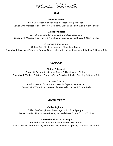

## **BEEF**

#### **Guisado de res**

Stew Beef Meat with Vegetable seasoned to perfection. Served with Mexican Rice, Refried Pinto Beans, Green and Red Sauce & Corn Tortillas

## **Guisado tricolor**

Beef Strips cooked in Onions & Signature seasoning. Served with Mexican Rice, Refried Pinto Beans, Green and Red Sauce & Corn Tortillas

Arrachera & Chimichurri

Grilled Skirt Steak covered in a Chimchurri Sauce.

Served with Rosemary Potatoes, Organic Green Salad with Italian dressing or Pilaf Rice & Dinner Rolls

# **SEAFOOD**

#### **Shrimp & Spagetti**

Spaghetti Pasta with Marinara Sauce & Lime flavored Shrimp. Served with Mashed Potatoes, Organic Green Salad with Italian Dressing & Dinner Rolls

Smoked Salmon

Alaska Smoked Salmon smothered in Caper Cream Sauce. Served with White Rice, Homemade Mashed Potatoes & Dinner Rolls

# **MIXED MEATS**

# **Grilled Fajita Mix**

Grilled Beef & Fajitas with sausage, onion & bell peppers. Served Spanish Rice, Norteno Beans, Red and Green Sauce & Corn Tortillas

## **Smoked Brisket and Sausage**

Smoked Brisket & Sausage smothered in BBQ Sauce. Served with Mashed Potatoes, Norteno Beans, Pickles Jalapeños, Onions & Dinner Rolls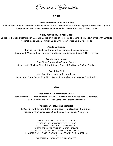Paraiso Maravilla

#### **PORK**

#### **Garlic and white wine Pork Chop**

Grilled Pork Chop marinated with White Wine Sauce. Corn with Butter & Red Pepper. Served with Organic Green Salad with Italian Dressing or Homemade Mashed Potatoes & Dinner Rolls

#### **Spicy mango sauce Pork Chop**

Grilled Pork Chop smothered in a Mango Sauce on a bed of Homemade Mashed Potatoes. Served with Buttered Vegetables or Organic Green Salad with Italian dressing & Dinner Rolls

#### **Asado de Puerco**

Stewed Pork Meat smothered in Red Peppers & Spices Sauces. Served with Mexican Rice, Refried Pinto Beans, Red & Green Sauce & Corn Tortillas

#### **Pork in green sauce**

Pork Stew Chunks with Cilantro Sauce. Served with Mexican Rice, Refried Beans, Green & Red Sauce & Corn Tortillas

#### **Cochinita Pibil**

Juicy Pork Meat marinated in a Achiote. Served with Black Beans, Rice Pilaf, Red Onions soaked in Vinegar & Corn Tortillas

#### **VEG**

#### **Vegetarian Zucchini Pesto Pasta**

Penne Pasta with Zucchini Pesto Sauce with Caramelized Bell Peppers & Tomatoes. Served with Organic Green Salad with Balsamic Dressing

#### **Vegetarian Fettuccine Waterfall**

Fettuccine with Tomato & Mushroom Sauce, Parsley, Basil & Olive Oil. Served with Organic Green Salad with a Red Pepper Vinaigrette

MENUS ABOVE ARE FOR BUFFET SELECTION PLEASE ASK ABOUT PLATED ENTREE OPTIONS EACH BUFFET COMES WITH 2 -3 ATTENDENTS GUESTS ARE NOT ALLOWED TO HANDLE THE FOOD EACH PACKAGE COME WITH THE DINNERWARE PACKAGE INCLUDES DINNERWARE - FLAT WARE - GLASSWARE & LINEN NAPKINS & WAITSTAFF ALL INCLUDED IN OUR PACKAGES